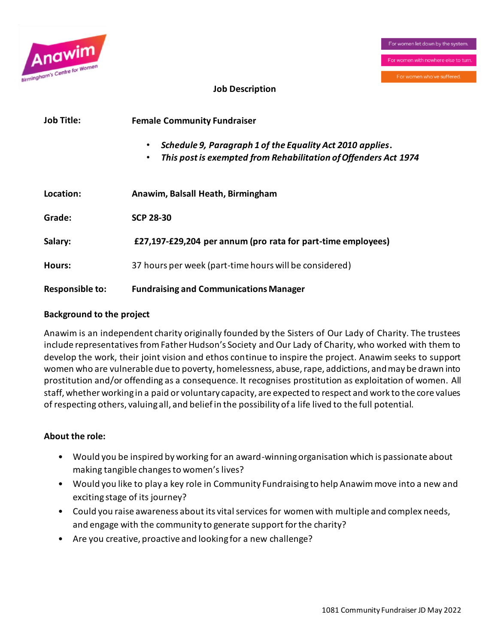

### **Job Description**

| Job Title:             | <b>Female Community Fundraiser</b>                                                                                                                     |  |  |
|------------------------|--------------------------------------------------------------------------------------------------------------------------------------------------------|--|--|
|                        | Schedule 9, Paragraph 1 of the Equality Act 2010 applies.<br>$\bullet$<br>This post is exempted from Rehabilitation of Offenders Act 1974<br>$\bullet$ |  |  |
| Location:              | Anawim, Balsall Heath, Birmingham                                                                                                                      |  |  |
| Grade:                 | <b>SCP 28-30</b>                                                                                                                                       |  |  |
| Salary:                | £27,197-£29,204 per annum (pro rata for part-time employees)                                                                                           |  |  |
| Hours:                 | 37 hours per week (part-time hours will be considered)                                                                                                 |  |  |
| <b>Responsible to:</b> | <b>Fundraising and Communications Manager</b>                                                                                                          |  |  |

### **Background to the project**

Anawim is an independent charity originally founded by the Sisters of Our Lady of Charity. The trustees include representatives from Father Hudson's Society and Our Lady of Charity, who worked with them to develop the work, their joint vision and ethos continue to inspire the project. Anawim seeks to support women who are vulnerable due to poverty, homelessness, abuse, rape, addictions, and may be drawn into prostitution and/or offending as a consequence. It recognises prostitution as exploitation of women. All staff, whether working in a paid or voluntary capacity, are expected to respect and work to the core values of respecting others, valuing all, and belief in the possibility of a life lived to the full potential.

### **About the role:**

- Would you be inspired by working for an award-winning organisation which is passionate about making tangible changes to women's lives?
- Would you like to play a key role in Community Fundraising to help Anawim move into a new and exciting stage of its journey?
- Could you raise awareness about its vital services for women with multiple and complex needs, and engage with the community to generate support for the charity?
- Are you creative, proactive and looking for a new challenge?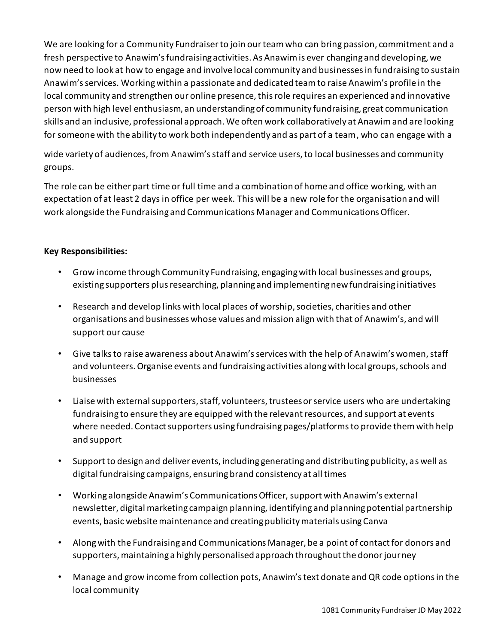We are looking for a Community Fundraiser to join our team who can bring passion, commitment and a fresh perspective to Anawim's fundraising activities. As Anawim is ever changing and developing, we now need to look at how to engage and involve local community and businesses in fundraising to sustain Anawim's services. Working within a passionate and dedicated team to raise Anawim's profile in the local community and strengthen our online presence, this role requires an experienced and innovative person with high level enthusiasm, an understanding of community fundraising, great communication skills and an inclusive, professional approach. We often work collaboratively at Anawim and are looking for someone with the ability to work both independently and as part of a team, who can engage with a

wide variety of audiences, from Anawim's staff and service users, to local businesses and community groups.

The role can be either part time or full time and a combination of home and office working, with an expectation of at least 2 days in office per week. This will be a new role for the organisation and will work alongside the Fundraising and Communications Manager and Communications Officer.

## **Key Responsibilities:**

- Grow income through Community Fundraising, engaging with local businesses and groups, existing supporters plus researching, planning and implementing new fundraising initiatives
- Research and develop links with local places of worship, societies, charities and other organisations and businesses whose values and mission align with that of Anawim's, and will support our cause
- Give talks to raise awareness about Anawim's services with the help of Anawim's women, staff and volunteers. Organise events and fundraising activities along with local groups, schools and businesses
- Liaise with external supporters, staff, volunteers, trustees or service users who are undertaking fundraising to ensure they are equipped with the relevant resources, and support at events where needed. Contact supporters using fundraising pages/platforms to provide them with help and support
- Support to design and deliver events, including generating and distributing publicity, as well as digital fundraising campaigns, ensuring brand consistency at all times
- Working alongside Anawim's Communications Officer, support with Anawim's external newsletter, digital marketing campaign planning, identifying and planning potential partnership events, basic website maintenance and creating publicity materials using Canva
- Along with the Fundraising and Communications Manager, be a point of contact for donors and supporters, maintaining a highly personalised approach throughout the donor journey
- Manage and grow income from collection pots, Anawim's text donate and QR code options in the local community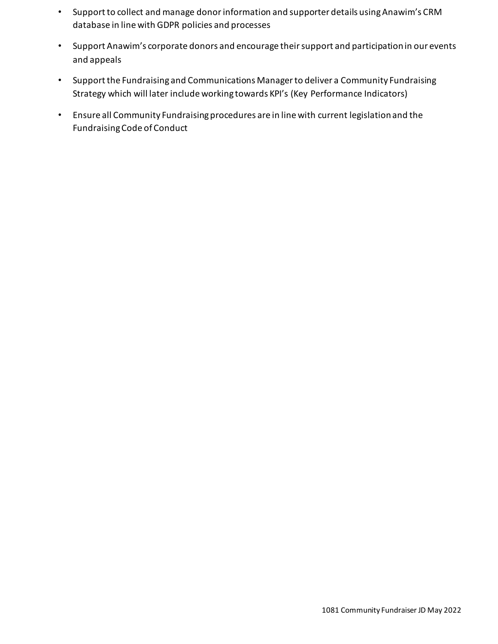- Support to collect and manage donor information and supporter details using Anawim's CRM database in line with GDPR policies and processes
- Support Anawim's corporate donors and encourage their support and participation in our events and appeals
- Support the Fundraising and Communications Manager to deliver a Community Fundraising Strategy which will later include working towards KPI's (Key Performance Indicators)
- Ensure all Community Fundraising procedures are in line with current legislation and the Fundraising Code of Conduct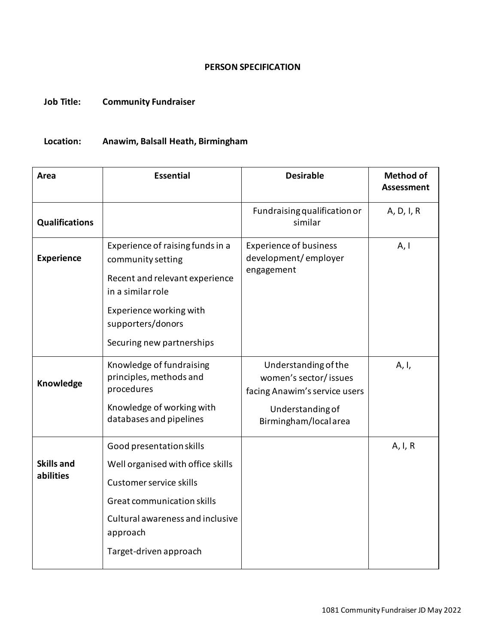#### **PERSON SPECIFICATION**

## **Job Title: Community Fundraiser**

# **Location: Anawim, Balsall Heath, Birmingham**

| Area                           | <b>Essential</b>                                                                                                                                                                                 | <b>Desirable</b>                                                                                                            | <b>Method of</b><br><b>Assessment</b> |
|--------------------------------|--------------------------------------------------------------------------------------------------------------------------------------------------------------------------------------------------|-----------------------------------------------------------------------------------------------------------------------------|---------------------------------------|
| <b>Qualifications</b>          |                                                                                                                                                                                                  | Fundraising qualification or<br>similar                                                                                     | A, D, I, R                            |
| <b>Experience</b>              | Experience of raising funds in a<br>community setting<br>Recent and relevant experience<br>in a similar role<br>Experience working with<br>supporters/donors<br>Securing new partnerships        | <b>Experience of business</b><br>development/employer<br>engagement                                                         | A, I                                  |
| Knowledge                      | Knowledge of fundraising<br>principles, methods and<br>procedures<br>Knowledge of working with<br>databases and pipelines                                                                        | Understanding of the<br>women's sector/ issues<br>facing Anawim's service users<br>Understanding of<br>Birmingham/localarea | A, I,                                 |
| <b>Skills and</b><br>abilities | Good presentation skills<br>Well organised with office skills<br>Customer service skills<br>Great communication skills<br>Cultural awareness and inclusive<br>approach<br>Target-driven approach |                                                                                                                             | A, I, R                               |